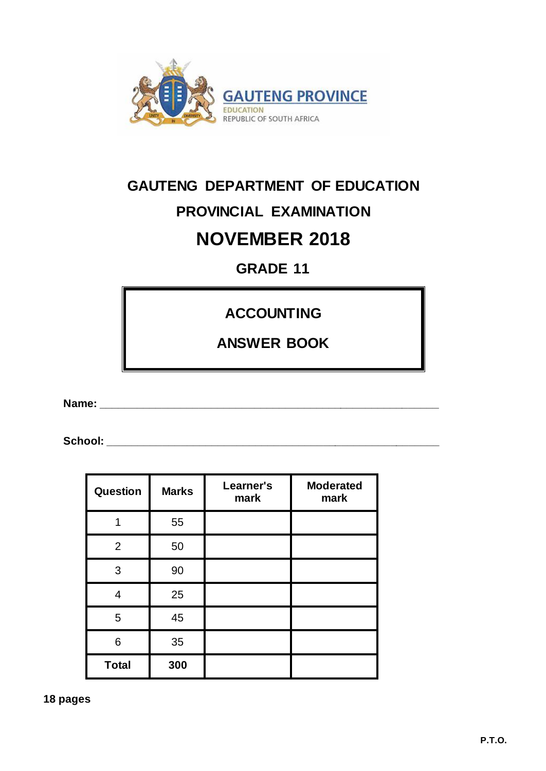

## **GAUTENG DEPARTMENT OF EDUCATION PROVINCIAL EXAMINATION NOVEMBER 2018**

**GRADE 11**

**ACCOUNTING**

**ANSWER BOOK**

**Name: \_\_\_\_\_\_\_\_\_\_\_\_\_\_\_\_\_\_\_\_\_\_\_\_\_\_\_\_\_\_\_\_\_\_\_\_\_\_\_\_\_\_\_\_\_\_\_\_\_\_\_\_\_\_\_**

**School: \_\_\_\_\_\_\_\_\_\_\_\_\_\_\_\_\_\_\_\_\_\_\_\_\_\_\_\_\_\_\_\_\_\_\_\_\_\_\_\_\_\_\_\_\_\_\_\_\_\_\_\_\_\_**

| <b>Question</b> | <b>Marks</b> | Learner's<br>mark | <b>Moderated</b><br>mark |
|-----------------|--------------|-------------------|--------------------------|
|                 | 55           |                   |                          |
| $\overline{2}$  | 50           |                   |                          |
| 3               | 90           |                   |                          |
| 4               | 25           |                   |                          |
| 5               | 45           |                   |                          |
| 6               | 35           |                   |                          |
| <b>Total</b>    | 300          |                   |                          |

**18 pages**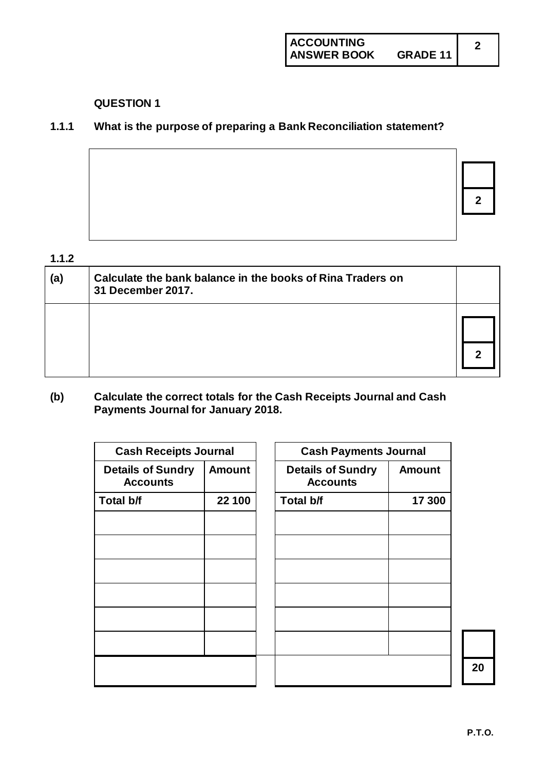#### **1.1.1 What is the purpose of preparing a Bank Reconciliation statement?**

**2**

#### **1.1.2**

| (a) | Calculate the bank balance in the books of Rina Traders on<br>31 December 2017. |  |
|-----|---------------------------------------------------------------------------------|--|
|     |                                                                                 |  |
|     |                                                                                 |  |

#### **(b) Calculate the correct totals for the Cash Receipts Journal and Cash Payments Journal for January 2018.**

| <b>Cash Receipts Journal</b>                |               | <b>Cash Payments Journal</b>                |               |
|---------------------------------------------|---------------|---------------------------------------------|---------------|
| <b>Details of Sundry</b><br><b>Accounts</b> | <b>Amount</b> | <b>Details of Sundry</b><br><b>Accounts</b> | <b>Amount</b> |
| Total b/f                                   | 22 100        | Total b/f                                   | 17 300        |
|                                             |               |                                             |               |
|                                             |               |                                             |               |
|                                             |               |                                             |               |
|                                             |               |                                             |               |
|                                             |               |                                             |               |
|                                             |               |                                             |               |
|                                             |               |                                             |               |
|                                             |               |                                             |               |
|                                             |               |                                             |               |
|                                             |               |                                             |               |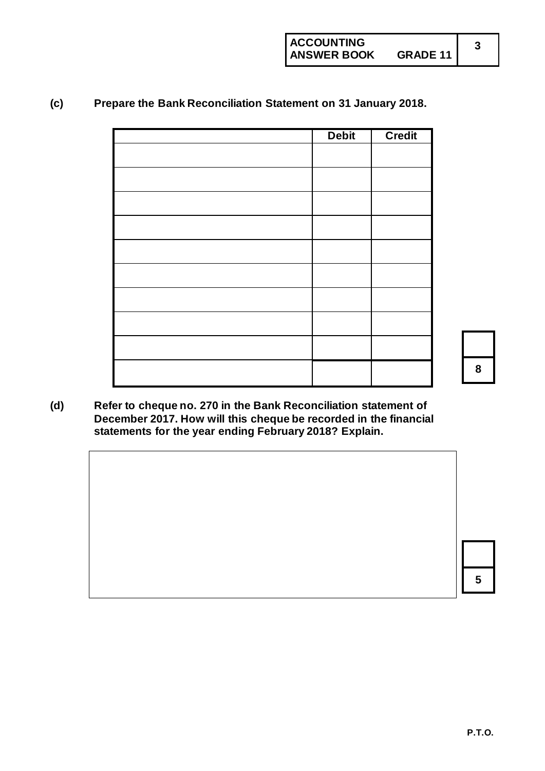#### **(c) Prepare the Bank Reconciliation Statement on 31 January 2018.**

| <b>Debit</b> | <b>Credit</b> |
|--------------|---------------|
|              |               |
|              |               |
|              |               |
|              |               |
|              |               |
|              |               |
|              |               |
|              |               |
|              |               |
|              |               |
|              |               |
|              |               |
|              |               |
|              |               |
|              |               |
|              |               |
|              |               |



**3**

**(d) Refer to cheque no. 270 in the Bank Reconciliation statement of December 2017. How will this cheque be recorded in the financial statements for the year ending February 2018? Explain.**

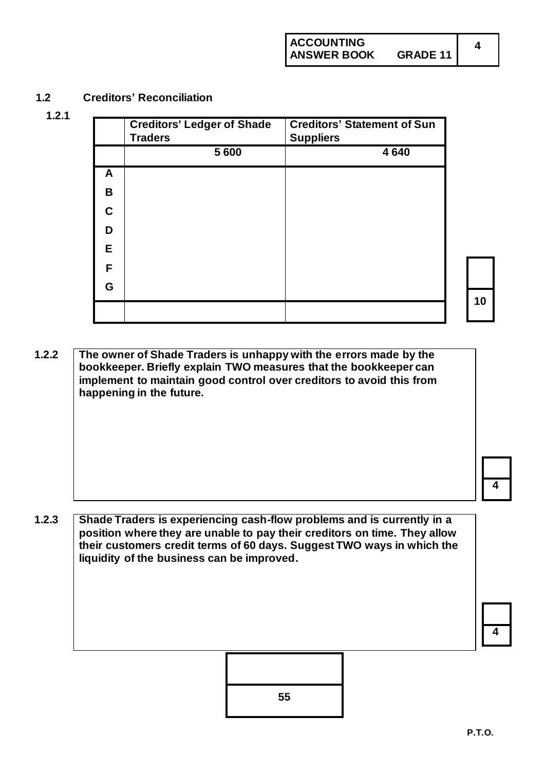#### **1.2 Creditors' Reconciliation**

**1.2.1**

|    | <b>Creditors' Ledger of Shade</b><br><b>Traders</b> | <b>Creditors' Statement of Sun</b><br><b>Suppliers</b> |
|----|-----------------------------------------------------|--------------------------------------------------------|
|    | 5 600                                               | 4640                                                   |
| A  |                                                     |                                                        |
| B  |                                                     |                                                        |
| C  |                                                     |                                                        |
| D  |                                                     |                                                        |
| E. |                                                     |                                                        |
| F  |                                                     |                                                        |
| G  |                                                     |                                                        |

**10**

**4**

**1.2.2 The owner of Shade Traders is unhappy with the errors made by the bookkeeper. Briefly explain TWO measures that the bookkeeper can implement to maintain good control over creditors to avoid this from happening in the future.**

**4**

**1.2.3 Shade Traders is experiencing cash-flow problems and is currently in a position where they are unable to pay their creditors on time. They allow their customers credit terms of 60 days. Suggest TWO ways in which the liquidity of the business can be improved.**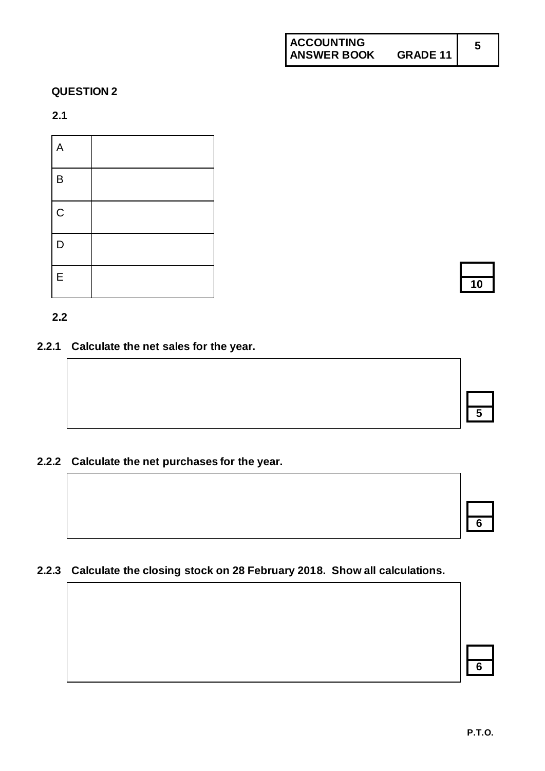#### **2.1**

| $\overline{\phantom{a}}$<br>A |  |
|-------------------------------|--|
| $\mathsf B$                   |  |
| $\mathsf C$                   |  |
| D                             |  |
| E                             |  |

#### **2.2**

**2.2.1 Calculate the net sales for the year.** 

#### **2.2.2 Calculate the net purchases for the year.**

#### **2.2.3 Calculate the closing stock on 28 February 2018. Show all calculations.**

**10**

| Ⴌ |  |  |
|---|--|--|
|   |  |  |
|   |  |  |
|   |  |  |

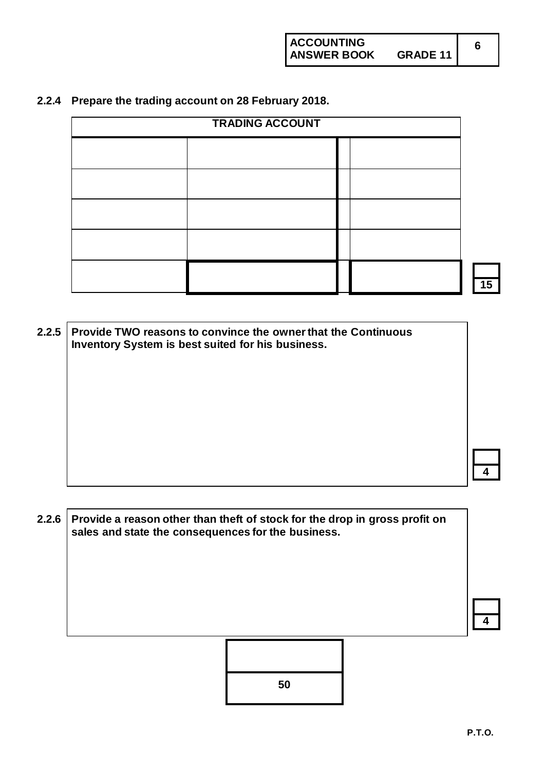#### **2.2.4 Prepare the trading account on 28 February 2018.**

| <b>TRADING ACCOUNT</b> |  |  |  |
|------------------------|--|--|--|
|                        |  |  |  |
|                        |  |  |  |
|                        |  |  |  |
|                        |  |  |  |
|                        |  |  |  |
|                        |  |  |  |

**2.2.5 Provide TWO reasons to convince the owner that the Continuous Inventory System is best suited for his business.**

**2.2.6 Provide a reason other than theft of stock for the drop in gross profit on sales and state the consequences for the business.**



**4**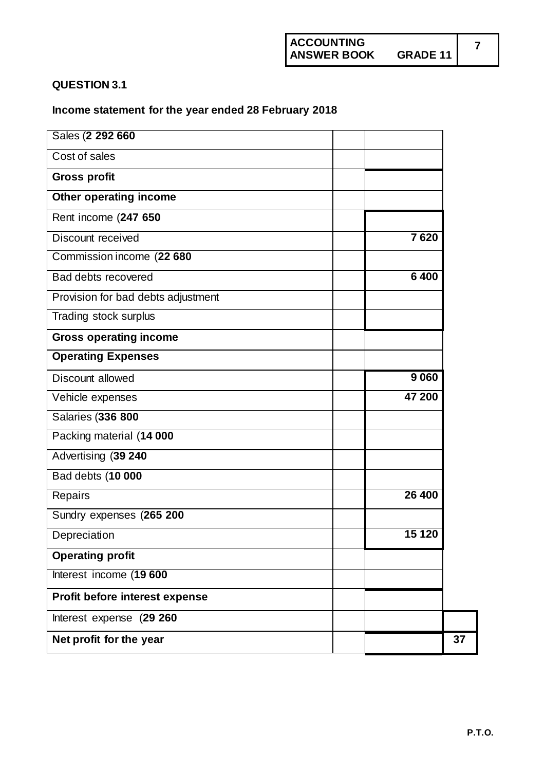#### **QUESTION 3.1**

#### **Income statement for the year ended 28 February 2018**

| Sales (2 292 660                      |    |
|---------------------------------------|----|
| Cost of sales                         |    |
| <b>Gross profit</b>                   |    |
| Other operating income                |    |
| Rent income (247 650                  |    |
| 7620<br>Discount received             |    |
| Commission income (22 680             |    |
| 6400<br>Bad debts recovered           |    |
| Provision for bad debts adjustment    |    |
| Trading stock surplus                 |    |
| <b>Gross operating income</b>         |    |
| <b>Operating Expenses</b>             |    |
| 9060<br>Discount allowed              |    |
| 47 200<br>Vehicle expenses            |    |
| <b>Salaries (336 800</b>              |    |
| Packing material (14 000              |    |
| Advertising (39 240                   |    |
| Bad debts (10 000                     |    |
| 26 400<br>Repairs                     |    |
| Sundry expenses (265 200              |    |
| 15 120<br>Depreciation                |    |
| <b>Operating profit</b>               |    |
| Interest income (19 600               |    |
| <b>Profit before interest expense</b> |    |
| Interest expense (29 260              |    |
| Net profit for the year               | 37 |
|                                       |    |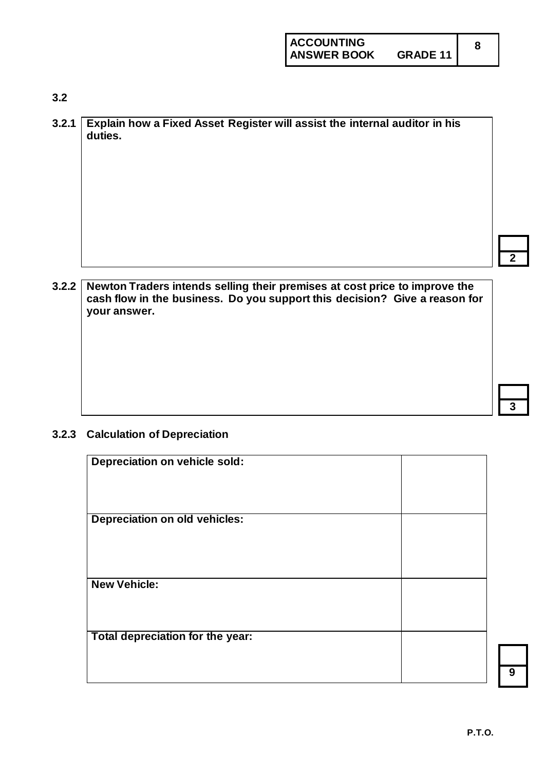**2**

**3**

#### **3.2**

| 3.2.1 Explain how a Fixed Asset Register will assist the internal auditor in his<br>duties. |
|---------------------------------------------------------------------------------------------|
|                                                                                             |
|                                                                                             |
|                                                                                             |
|                                                                                             |
|                                                                                             |

#### **3.2.2 Newton Traders intends selling their premises at cost price to improve the cash flow in the business. Do you support this decision? Give a reason for your answer.**

#### **3.2.3 Calculation of Depreciation**

| Depreciation on vehicle sold:        |  |
|--------------------------------------|--|
| <b>Depreciation on old vehicles:</b> |  |
| <b>New Vehicle:</b>                  |  |
| Total depreciation for the year:     |  |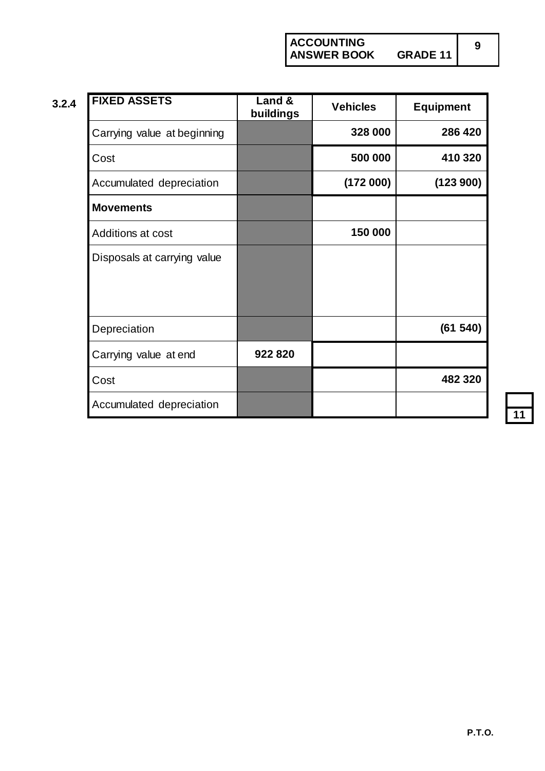**ACCOUNTING ANSWER BOOK GRADE 11**

| v. |  |
|----|--|
|    |  |
|    |  |

| 3.2.4 | <b>FIXED ASSETS</b>         | Land &<br>buildings | <b>Vehicles</b> | <b>Equipment</b> |
|-------|-----------------------------|---------------------|-----------------|------------------|
|       | Carrying value at beginning |                     | 328 000         | 286 420          |
|       | Cost                        |                     | 500 000         | 410 320          |
|       | Accumulated depreciation    |                     | (172000)        | (123 900)        |
|       | <b>Movements</b>            |                     |                 |                  |
|       | Additions at cost           |                     | 150 000         |                  |
|       | Disposals at carrying value |                     |                 |                  |
|       | Depreciation                |                     |                 | (61540)          |
|       | Carrying value at end       | 922 820             |                 |                  |
|       | Cost                        |                     |                 | 482 320          |
|       | Accumulated depreciation    |                     |                 |                  |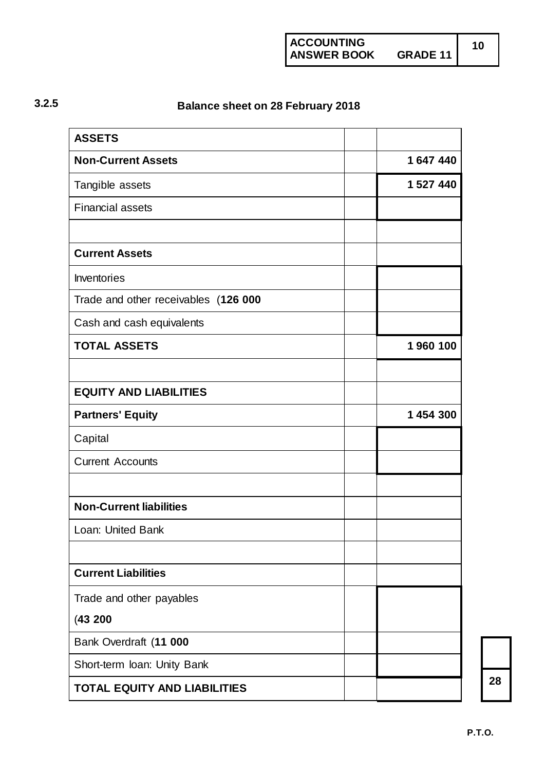**ACCOUNTING ANSWER BOOK GRADE 11**

### **3.2.5 Balance sheet on 28 February 2018**

| <b>ASSETS</b>                        |           |
|--------------------------------------|-----------|
| <b>Non-Current Assets</b>            | 1647440   |
| Tangible assets                      | 1 527 440 |
| <b>Financial assets</b>              |           |
|                                      |           |
| <b>Current Assets</b>                |           |
| Inventories                          |           |
| Trade and other receivables (126 000 |           |
| Cash and cash equivalents            |           |
| <b>TOTAL ASSETS</b>                  | 1960 100  |
|                                      |           |
| <b>EQUITY AND LIABILITIES</b>        |           |
| <b>Partners' Equity</b>              | 1 454 300 |
| Capital                              |           |
| <b>Current Accounts</b>              |           |
|                                      |           |
| <b>Non-Current liabilities</b>       |           |
| Loan: United Bank                    |           |
|                                      |           |
| <b>Current Liabilities</b>           |           |
| Trade and other payables             |           |
| (43200)                              |           |
| Bank Overdraft (11 000               |           |
| Short-term Ioan: Unity Bank          |           |
| <b>TOTAL EQUITY AND LIABILITIES</b>  |           |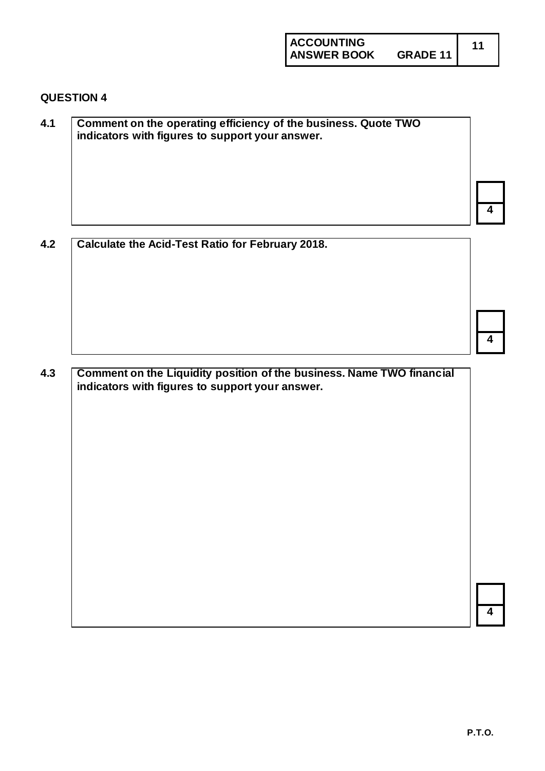**ACCOUNTING**

#### **QUESTION 4**

| 4.1 | Comment on the operating efficiency of the business. Quote TWO<br>indicators with figures to support your answer. |  |
|-----|-------------------------------------------------------------------------------------------------------------------|--|
|     |                                                                                                                   |  |
|     |                                                                                                                   |  |
|     |                                                                                                                   |  |

**4.2 Calculate the Acid-Test Ratio for February 2018.**

**4.3 Comment on the Liquidity position of the business. Name TWO financial indicators with figures to support your answer.**

**4**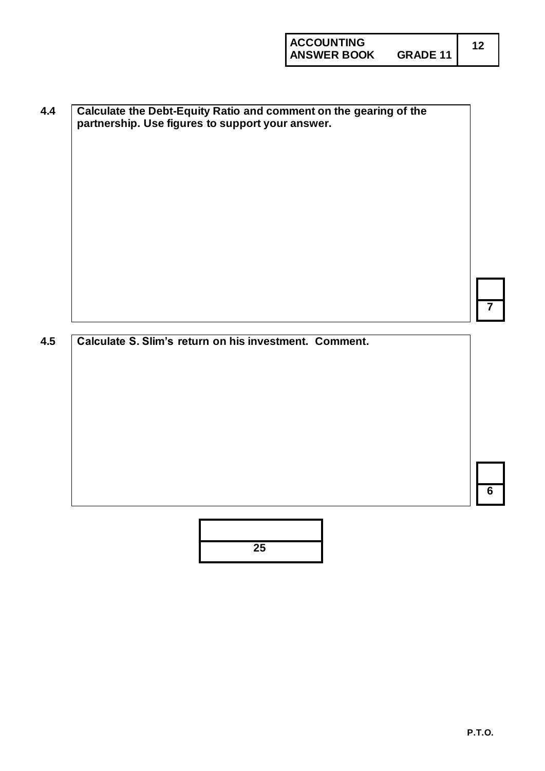**4.4 Calculate the Debt-Equity Ratio and comment on the gearing of the partnership. Use figures to support your answer.**

#### **4.5 Calculate S. Slim's return on his investment. Comment.**



**7**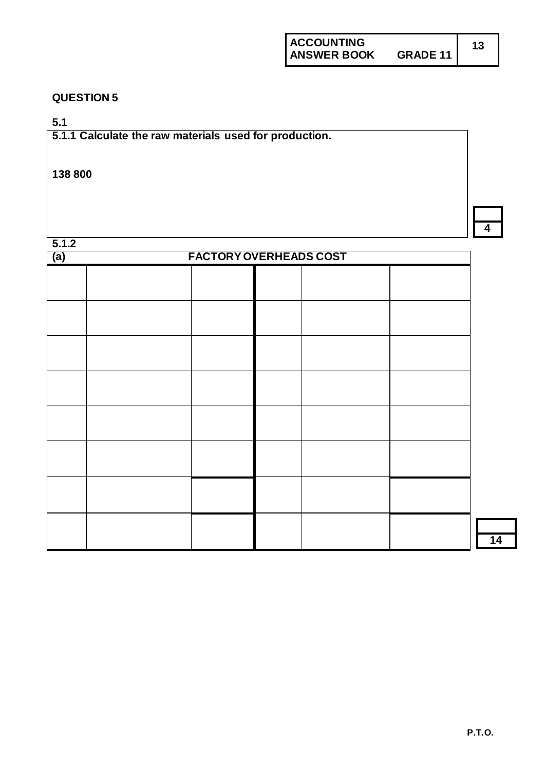**5.1**

**5.1.1 Calculate the raw materials used for production.**

#### **138 800**

**5.1.2**

| J.I.Z<br><b>FACTORY OVERHEADS COST</b><br>(a) |  |  |  |  |
|-----------------------------------------------|--|--|--|--|
|                                               |  |  |  |  |
|                                               |  |  |  |  |
|                                               |  |  |  |  |
|                                               |  |  |  |  |
|                                               |  |  |  |  |
|                                               |  |  |  |  |
|                                               |  |  |  |  |
|                                               |  |  |  |  |
|                                               |  |  |  |  |
|                                               |  |  |  |  |
|                                               |  |  |  |  |
|                                               |  |  |  |  |
|                                               |  |  |  |  |
|                                               |  |  |  |  |
|                                               |  |  |  |  |

**14**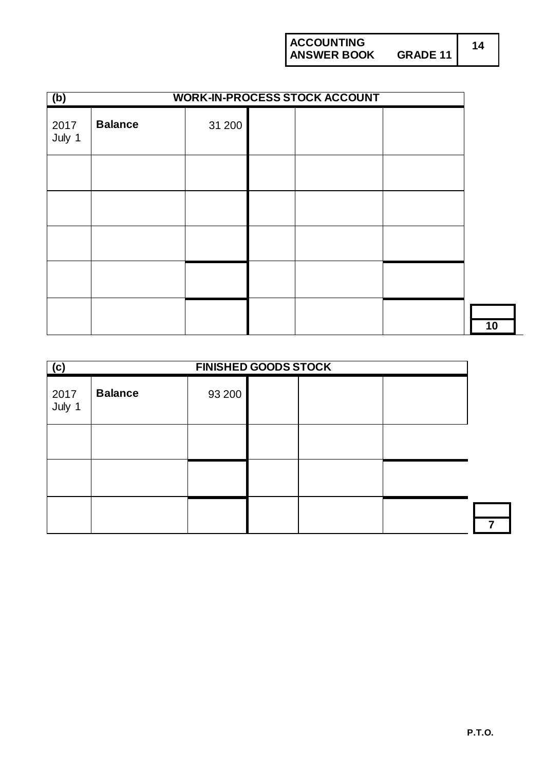**ACCOUNTING ANSWER BOOK GRADE 11 14**

| (b)            | <b>WORK-IN-PROCESS STOCK ACCOUNT</b> |        |  |  |  |
|----------------|--------------------------------------|--------|--|--|--|
| 2017<br>July 1 | <b>Balance</b>                       | 31 200 |  |  |  |
|                |                                      |        |  |  |  |
|                |                                      |        |  |  |  |
|                |                                      |        |  |  |  |
|                |                                      |        |  |  |  |
|                |                                      |        |  |  |  |

| (c)            | <b>FINISHED GOODS STOCK</b> |        |  |  |  |
|----------------|-----------------------------|--------|--|--|--|
| 2017<br>July 1 | <b>Balance</b>              | 93 200 |  |  |  |
|                |                             |        |  |  |  |
|                |                             |        |  |  |  |
|                |                             |        |  |  |  |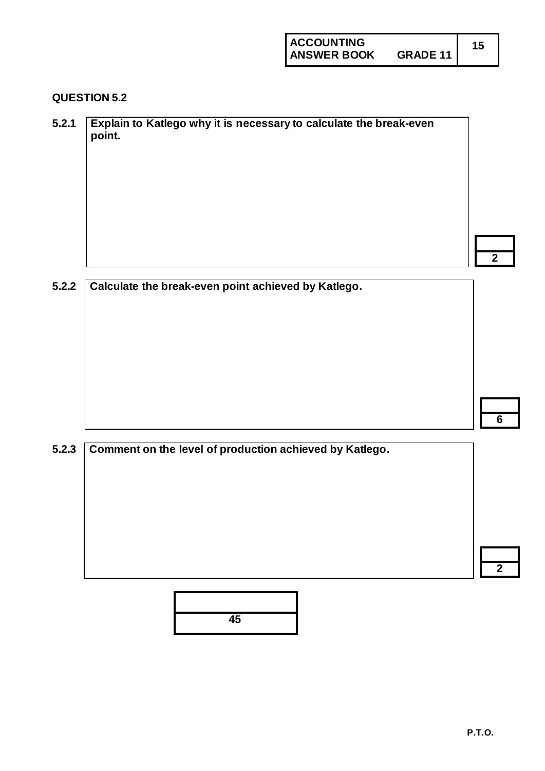#### **QUESTION 5.2**

| 5.2.1 | Explain to Katlego why it is necessary to calculate the break-even<br>point. |   |
|-------|------------------------------------------------------------------------------|---|
|       |                                                                              |   |
|       |                                                                              |   |
|       |                                                                              |   |
|       |                                                                              |   |
|       |                                                                              | ◠ |

#### **5.2.2 Calculate the break-even point achieved by Katlego.**

**6**

# **5.2.3 Comment on the level of production achieved by Katlego. 2**

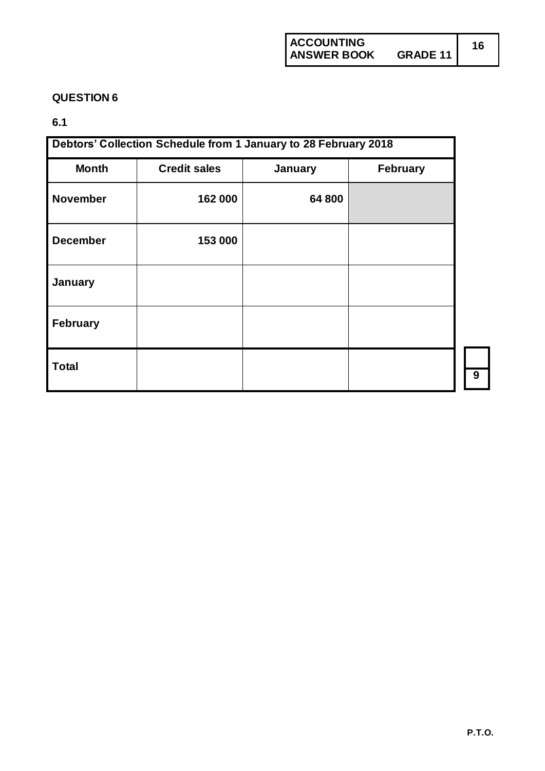#### **6.1**

| Debtors' Collection Schedule from 1 January to 28 February 2018 |                                            |        |  |   |  |  |
|-----------------------------------------------------------------|--------------------------------------------|--------|--|---|--|--|
| <b>Month</b>                                                    | <b>Credit sales</b><br>February<br>January |        |  |   |  |  |
| <b>November</b>                                                 | 162 000                                    | 64 800 |  |   |  |  |
| <b>December</b>                                                 | 153 000                                    |        |  |   |  |  |
| January                                                         |                                            |        |  |   |  |  |
| February                                                        |                                            |        |  |   |  |  |
| <b>Total</b>                                                    |                                            |        |  | 9 |  |  |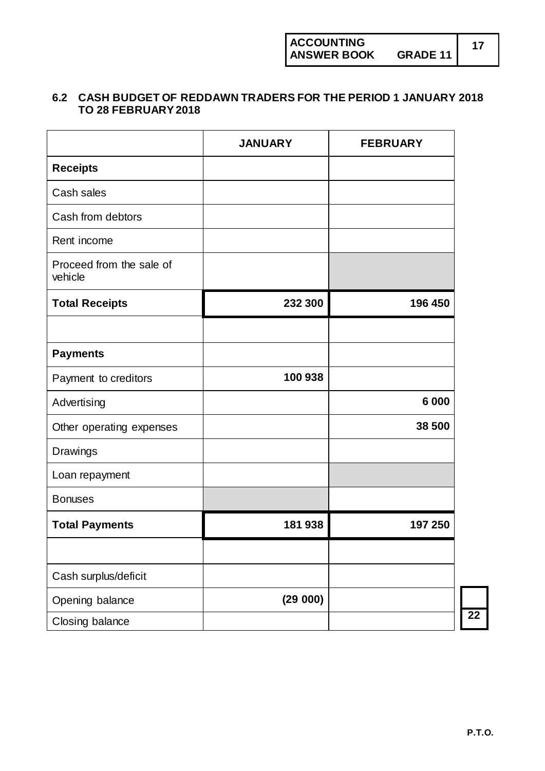#### **6.2 CASH BUDGET OF REDDAWN TRADERS FOR THE PERIOD 1 JANUARY 2018 TO 28 FEBRUARY 2018**

|                                     | <b>JANUARY</b> | <b>FEBRUARY</b> |
|-------------------------------------|----------------|-----------------|
| <b>Receipts</b>                     |                |                 |
| Cash sales                          |                |                 |
| Cash from debtors                   |                |                 |
| Rent income                         |                |                 |
| Proceed from the sale of<br>vehicle |                |                 |
| <b>Total Receipts</b>               | 232 300        | 196 450         |
|                                     |                |                 |
| <b>Payments</b>                     |                |                 |
| Payment to creditors                | 100 938        |                 |
| Advertising                         |                | 6 0 0 0         |
| Other operating expenses            |                | 38 500          |
| Drawings                            |                |                 |
| Loan repayment                      |                |                 |
| <b>Bonuses</b>                      |                |                 |
| <b>Total Payments</b>               | 181938         | 197 250         |
|                                     |                |                 |
| Cash surplus/deficit                |                |                 |
| Opening balance                     | (29000)        |                 |
| Closing balance                     |                |                 |